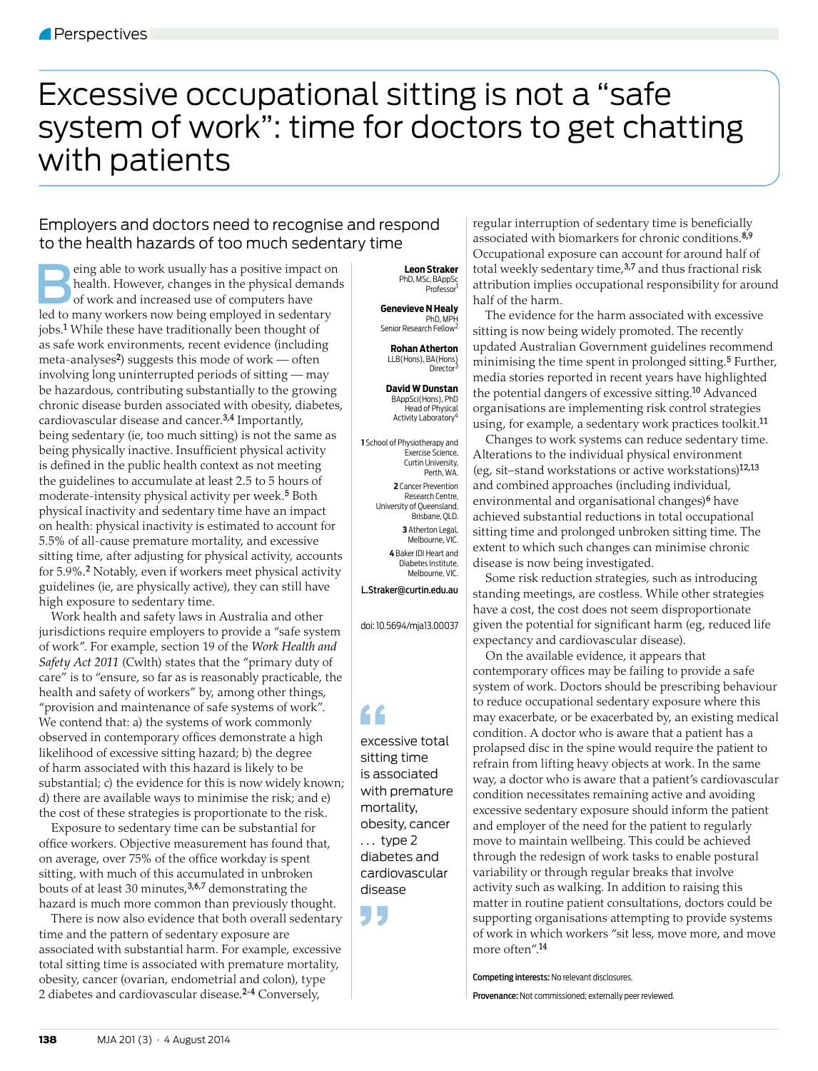## Excessive occupational sitting is not a "safe system of work": time for doctors to get chatting with patients

## Employers and doctors need to recognise and respond to the health hazards of too much sedentary time

eing able to work usually has a positive impact on<br>health. However, changes in the physical demands<br>of work and increased use of computers have<br>led to many workers now being employed in sedentary health. However, changes in the physical demands of work and increased use of computers have led to many workers now being employed in sedentary jobs.1 While these have traditionally been thought of as safe work environments, recent evidence (including meta-analyses<sup>2</sup>) suggests this mode of work — often involving long uninterrupted periods of sitting — may be hazardous, contributing substantially to the growing chronic disease burden associated with obesity, diabetes, cardiovascular disease and cancer.3,4 Importantly, being sedentary (ie, too much sitting) is not the same as being physically inactive. Insufficient physical activity is defined in the public health context as not meeting the guidelines to accumulate at least 2.5 to 5 hours of moderate-intensity physical activity per week.<sup>5</sup> Both physical inactivity and sedentary time have an impact on health: physical inactivity is estimated to account for 5.5% of all-cause premature mortality, and excessive sitting time, after adjusting for physical activity, accounts for 5.9%.2 Notably, even if workers meet physical activity guidelines (ie, are physically active), they can still have high exposure to sedentary time.

Work health and safety laws in Australia and other jurisdictions require employers to provide a "safe system of work". For example, section 19 of the *Work Health and Safety Act 2011* (Cwlth) states that the "primary duty of care" is to "ensure, so far as is reasonably practicable, the health and safety of workers" by, among other things, "provision and maintenance of safe systems of work". We contend that: a) the systems of work commonly observed in contemporary offices demonstrate a high likelihood of excessive sitting hazard; b) the degree of harm associated with this hazard is likely to be substantial; c) the evidence for this is now widely known; d) there are available ways to minimise the risk; and e) the cost of these strategies is proportionate to the risk.

Exposure to sedentary time can be substantial for office workers. Objective measurement has found that, on average, over 75% of the office workday is spent sitting, with much of this accumulated in unbroken bouts of at least 30 minutes,3,6,7 demonstrating the hazard is much more common than previously thought.

There is now also evidence that both overall sedentary time and the pattern of sedentary exposure are associated with substantial harm. For example, excessive total sitting time is associated with premature mortality, obesity, cancer (ovarian, endometrial and colon), type 2 diabetes and cardiovascular disease.2-4 Conversely,

 **Leon Straker**  PhD, MSc, BAppSc Professor<sup>1</sup>

**Genevieve N Healy**  PhD, MPH Senior Research Fellow<sup>2</sup>

**Rohan Atherton**  LLB(Hons), BA(Hons)<br>Director<sup>3</sup>

**David W Dunstan**  BAppSci(Hons), PhD Head of Physical Activity Laboratory<sup>4</sup>

**1** School of Physiotherapy and Exercise Science, Curtin University, Perth, WA. **2** Cancer Prevention Research Centre, University of Queensland, Brisbane, QLD. **3** Atherton Legal, Melbourne, VIC. **4** Baker IDI Heart and Diabetes Institute, Melbourne, VIC L.Straker@curtin.edu.au

doi: 10.5694/mja13.00037

## L C

excessive total sitting time is associated with premature mortality, obesity, cancer  $\ldots$  type 2 diabetes and cardiovascular disease

regular interruption of sedentary time is beneficially associated with biomarkers for chronic conditions.<sup>8,9</sup> Occupational exposure can account for around half of total weekly sedentary time,<sup>3,7</sup> and thus fractional risk attribution implies occupational responsibility for around half of the harm.

The evidence for the harm associated with excessive sitting is now being widely promoted. The recently updated Australian Government guidelines recommend minimising the time spent in prolonged sitting.5 Further, media stories reported in recent years have highlighted the potential dangers of excessive sitting.<sup>10</sup> Advanced organisations are implementing risk control strategies using, for example, a sedentary work practices toolkit.<sup>11</sup>

Changes to work systems can reduce sedentary time. Alterations to the individual physical environment (eg, sit–stand workstations or active workstations)12,13 and combined approaches (including individual, environmental and organisational changes)<sup>6</sup> have achieved substantial reductions in total occupational sitting time and prolonged unbroken sitting time. The extent to which such changes can minimise chronic disease is now being investigated.

Some risk reduction strategies, such as introducing standing meetings, are costless. While other strategies have a cost, the cost does not seem disproportionate given the potential for significant harm (eg, reduced life expectancy and cardiovascular disease).

On the available evidence, it appears that contemporary offices may be failing to provide a safe system of work. Doctors should be prescribing behaviour to reduce occupational sedentary exposure where this may exacerbate, or be exacerbated by, an existing medical condition. A doctor who is aware that a patient has a prolapsed disc in the spine would require the patient to refrain from lifting heavy objects at work. In the same way, a doctor who is aware that a patient's cardiovascular condition necessitates remaining active and avoiding excessive sedentary exposure should inform the patient and employer of the need for the patient to regularly move to maintain wellbeing. This could be achieved through the redesign of work tasks to enable postural variability or through regular breaks that involve activity such as walking. In addition to raising this matter in routine patient consultations, doctors could be supporting organisations attempting to provide systems of work in which workers "sit less, move more, and move more often".14

Competing interests: No relevant disclosures.

Provenance: Not commissioned; externally peer reviewed.